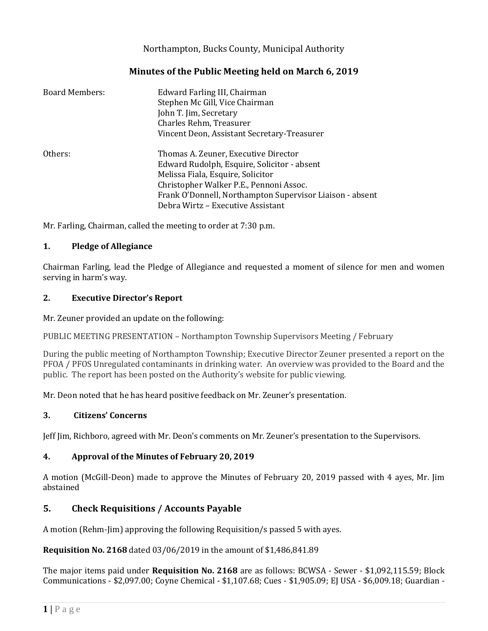## Northampton, Bucks County, Municipal Authority

## **Minutes of the Public Meeting held on March 6, 2019**

| <b>Board Members:</b> | Edward Farling III, Chairman<br>Stephen Mc Gill, Vice Chairman<br>John T. Jim, Secretary<br>Charles Rehm, Treasurer<br>Vincent Deon, Assistant Secretary-Treasurer  |
|-----------------------|---------------------------------------------------------------------------------------------------------------------------------------------------------------------|
| Others:               | Thomas A. Zeuner, Executive Director<br>Edward Rudolph, Esquire, Solicitor - absent<br>Melissa Fiala, Esquire, Solicitor<br>Christopher Walker P.E., Pennoni Assoc. |
|                       | Frank O'Donnell, Northampton Supervisor Liaison - absent<br>Debra Wirtz - Executive Assistant                                                                       |

Mr. Farling, Chairman, called the meeting to order at 7:30 p.m.

### **1. Pledge of Allegiance**

Chairman Farling, lead the Pledge of Allegiance and requested a moment of silence for men and women serving in harm's way.

### **2. Executive Director's Report**

Mr. Zeuner provided an update on the following:

PUBLIC MEETING PRESENTATION – Northampton Township Supervisors Meeting / February

During the public meeting of Northampton Township; Executive Director Zeuner presented a report on the PFOA / PFOS Unregulated contaminants in drinking water. An overview was provided to the Board and the public. The report has been posted on the Authority's website for public viewing.

Mr. Deon noted that he has heard positive feedback on Mr. Zeuner's presentation.

## **3. Citizens' Concerns**

Jeff Jim, Richboro, agreed with Mr. Deon's comments on Mr. Zeuner's presentation to the Supervisors.

## **4. Approval of the Minutes of February 20, 2019**

A motion (McGill-Deon) made to approve the Minutes of February 20, 2019 passed with 4 ayes, Mr. Jim abstained

# **5. Check Requisitions / Accounts Payable**

A motion (Rehm-Jim) approving the following Requisition/s passed 5 with ayes.

**Requisition No. 2168** dated 03/06/2019 in the amount of \$1,486,841.89

The major items paid under **Requisition No. 2168** are as follows: BCWSA - Sewer - \$1,092,115.59; Block Communications - \$2,097.00; Coyne Chemical - \$1,107.68; Cues - \$1,905.09; EJ USA - \$6,009.18; Guardian -